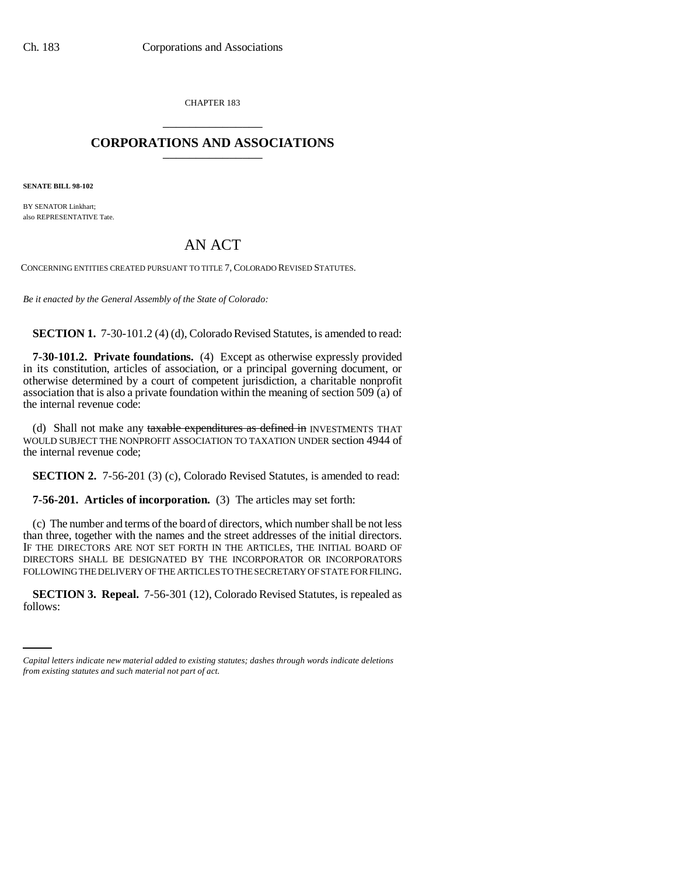CHAPTER 183 \_\_\_\_\_\_\_\_\_\_\_\_\_\_\_

# **CORPORATIONS AND ASSOCIATIONS** \_\_\_\_\_\_\_\_\_\_\_\_\_\_\_

**SENATE BILL 98-102**

BY SENATOR Linkhart; also REPRESENTATIVE Tate.

# AN ACT

CONCERNING ENTITIES CREATED PURSUANT TO TITLE 7, COLORADO REVISED STATUTES.

*Be it enacted by the General Assembly of the State of Colorado:*

**SECTION 1.** 7-30-101.2 (4) (d), Colorado Revised Statutes, is amended to read:

**7-30-101.2. Private foundations.** (4) Except as otherwise expressly provided in its constitution, articles of association, or a principal governing document, or otherwise determined by a court of competent jurisdiction, a charitable nonprofit association that is also a private foundation within the meaning of section 509 (a) of the internal revenue code:

(d) Shall not make any taxable expenditures as defined in INVESTMENTS THAT WOULD SUBJECT THE NONPROFIT ASSOCIATION TO TAXATION UNDER section 4944 of the internal revenue code;

**SECTION 2.** 7-56-201 (3) (c), Colorado Revised Statutes, is amended to read:

**7-56-201. Articles of incorporation.** (3) The articles may set forth:

(c) The number and terms of the board of directors, which number shall be not less than three, together with the names and the street addresses of the initial directors. IF THE DIRECTORS ARE NOT SET FORTH IN THE ARTICLES, THE INITIAL BOARD OF DIRECTORS SHALL BE DESIGNATED BY THE INCORPORATOR OR INCORPORATORS FOLLOWING THE DELIVERY OF THE ARTICLES TO THE SECRETARY OF STATE FOR FILING.

 **SECTION 3. Repeal.** 7-56-301 (12), Colorado Revised Statutes, is repealed as follows:

*Capital letters indicate new material added to existing statutes; dashes through words indicate deletions from existing statutes and such material not part of act.*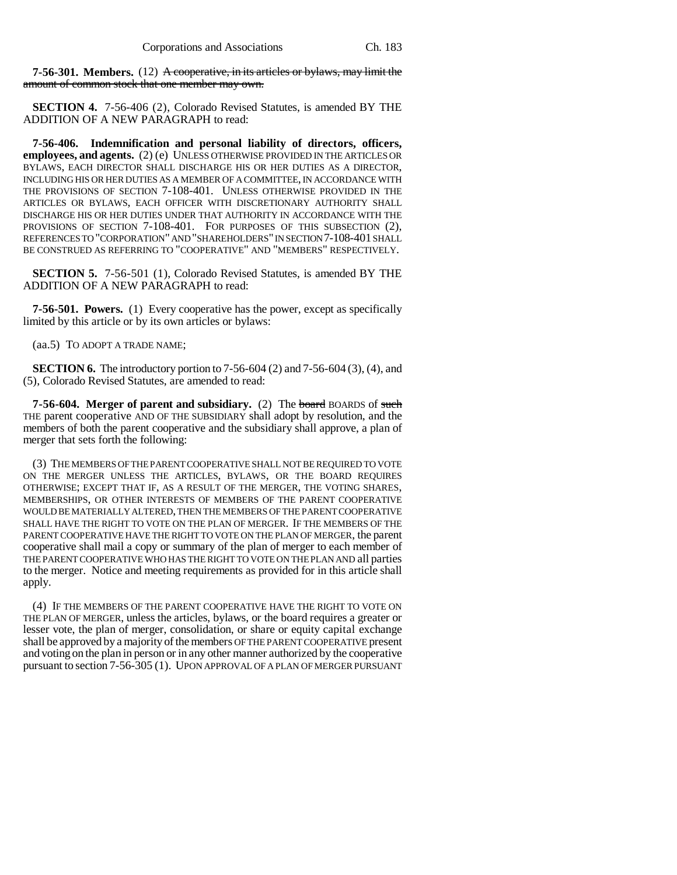**7-56-301. Members.** (12) A cooperative, in its articles or bylaws, may limit the amount of common stock that one member may own.

**SECTION 4.** 7-56-406 (2), Colorado Revised Statutes, is amended BY THE ADDITION OF A NEW PARAGRAPH to read:

**7-56-406. Indemnification and personal liability of directors, officers, employees, and agents.** (2) (e) UNLESS OTHERWISE PROVIDED IN THE ARTICLES OR BYLAWS, EACH DIRECTOR SHALL DISCHARGE HIS OR HER DUTIES AS A DIRECTOR, INCLUDING HIS OR HER DUTIES AS A MEMBER OF A COMMITTEE, IN ACCORDANCE WITH THE PROVISIONS OF SECTION 7-108-401. UNLESS OTHERWISE PROVIDED IN THE ARTICLES OR BYLAWS, EACH OFFICER WITH DISCRETIONARY AUTHORITY SHALL DISCHARGE HIS OR HER DUTIES UNDER THAT AUTHORITY IN ACCORDANCE WITH THE PROVISIONS OF SECTION 7-108-401. FOR PURPOSES OF THIS SUBSECTION (2), REFERENCES TO "CORPORATION" AND "SHAREHOLDERS" IN SECTION 7-108-401 SHALL BE CONSTRUED AS REFERRING TO "COOPERATIVE" AND "MEMBERS" RESPECTIVELY.

**SECTION 5.** 7-56-501 (1), Colorado Revised Statutes, is amended BY THE ADDITION OF A NEW PARAGRAPH to read:

**7-56-501. Powers.** (1) Every cooperative has the power, except as specifically limited by this article or by its own articles or bylaws:

(aa.5) TO ADOPT A TRADE NAME;

**SECTION 6.** The introductory portion to 7-56-604 (2) and 7-56-604 (3), (4), and (5), Colorado Revised Statutes, are amended to read:

**7-56-604. Merger of parent and subsidiary.** (2) The board BOARDS of such THE parent cooperative AND OF THE SUBSIDIARY shall adopt by resolution, and the members of both the parent cooperative and the subsidiary shall approve, a plan of merger that sets forth the following:

(3) THE MEMBERS OF THE PARENT COOPERATIVE SHALL NOT BE REQUIRED TO VOTE ON THE MERGER UNLESS THE ARTICLES, BYLAWS, OR THE BOARD REQUIRES OTHERWISE; EXCEPT THAT IF, AS A RESULT OF THE MERGER, THE VOTING SHARES, MEMBERSHIPS, OR OTHER INTERESTS OF MEMBERS OF THE PARENT COOPERATIVE WOULD BE MATERIALLY ALTERED, THEN THE MEMBERS OF THE PARENT COOPERATIVE SHALL HAVE THE RIGHT TO VOTE ON THE PLAN OF MERGER. IF THE MEMBERS OF THE PARENT COOPERATIVE HAVE THE RIGHT TO VOTE ON THE PLAN OF MERGER, the parent cooperative shall mail a copy or summary of the plan of merger to each member of THE PARENT COOPERATIVE WHO HAS THE RIGHT TO VOTE ON THE PLAN AND all parties to the merger. Notice and meeting requirements as provided for in this article shall apply.

(4) IF THE MEMBERS OF THE PARENT COOPERATIVE HAVE THE RIGHT TO VOTE ON THE PLAN OF MERGER, unless the articles, bylaws, or the board requires a greater or lesser vote, the plan of merger, consolidation, or share or equity capital exchange shall be approved by a majority of the members OF THE PARENT COOPERATIVE present and voting on the plan in person or in any other manner authorized by the cooperative pursuant to section 7-56-305 (1). UPON APPROVAL OF A PLAN OF MERGER PURSUANT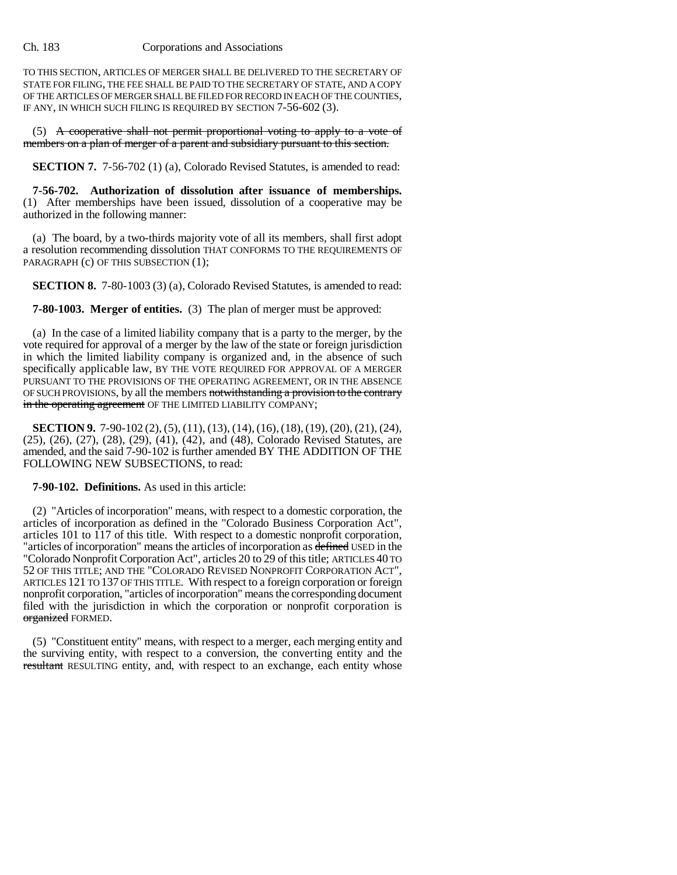TO THIS SECTION, ARTICLES OF MERGER SHALL BE DELIVERED TO THE SECRETARY OF STATE FOR FILING, THE FEE SHALL BE PAID TO THE SECRETARY OF STATE, AND A COPY OF THE ARTICLES OF MERGER SHALL BE FILED FOR RECORD IN EACH OF THE COUNTIES, IF ANY, IN WHICH SUCH FILING IS REQUIRED BY SECTION 7-56-602 (3).

 $(5)$  A cooperative shall not permit proportional voting to apply to a vote of members on a plan of merger of a parent and subsidiary pursuant to this section.

**SECTION 7.** 7-56-702 (1) (a), Colorado Revised Statutes, is amended to read:

**7-56-702. Authorization of dissolution after issuance of memberships.** (1) After memberships have been issued, dissolution of a cooperative may be authorized in the following manner:

(a) The board, by a two-thirds majority vote of all its members, shall first adopt a resolution recommending dissolution THAT CONFORMS TO THE REQUIREMENTS OF PARAGRAPH (c) OF THIS SUBSECTION (1);

**SECTION 8.** 7-80-1003 (3) (a), Colorado Revised Statutes, is amended to read:

**7-80-1003. Merger of entities.** (3) The plan of merger must be approved:

(a) In the case of a limited liability company that is a party to the merger, by the vote required for approval of a merger by the law of the state or foreign jurisdiction in which the limited liability company is organized and, in the absence of such specifically applicable law, BY THE VOTE REQUIRED FOR APPROVAL OF A MERGER PURSUANT TO THE PROVISIONS OF THE OPERATING AGREEMENT, OR IN THE ABSENCE OF SUCH PROVISIONS, by all the members notwithstanding a provision to the contrary in the operating agreement OF THE LIMITED LIABILITY COMPANY;

**SECTION 9.** 7-90-102 (2), (5), (11), (13), (14), (16), (18), (19), (20), (21), (24), (25), (26), (27), (28), (29), (41), (42), and (48), Colorado Revised Statutes, are amended, and the said 7-90-102 is further amended BY THE ADDITION OF THE FOLLOWING NEW SUBSECTIONS, to read:

**7-90-102. Definitions.** As used in this article:

(2) "Articles of incorporation" means, with respect to a domestic corporation, the articles of incorporation as defined in the "Colorado Business Corporation Act", articles 101 to 117 of this title. With respect to a domestic nonprofit corporation, "articles of incorporation" means the articles of incorporation as defined USED in the "Colorado Nonprofit Corporation Act", articles 20 to 29 of this title; ARTICLES 40 TO 52 OF THIS TITLE; AND THE "COLORADO REVISED NONPROFIT CORPORATION ACT", ARTICLES 121 TO 137 OF THIS TITLE. With respect to a foreign corporation or foreign nonprofit corporation, "articles of incorporation" means the corresponding document filed with the jurisdiction in which the corporation or nonprofit corporation is organized FORMED.

(5) "Constituent entity" means, with respect to a merger, each merging entity and the surviving entity, with respect to a conversion, the converting entity and the resultant RESULTING entity, and, with respect to an exchange, each entity whose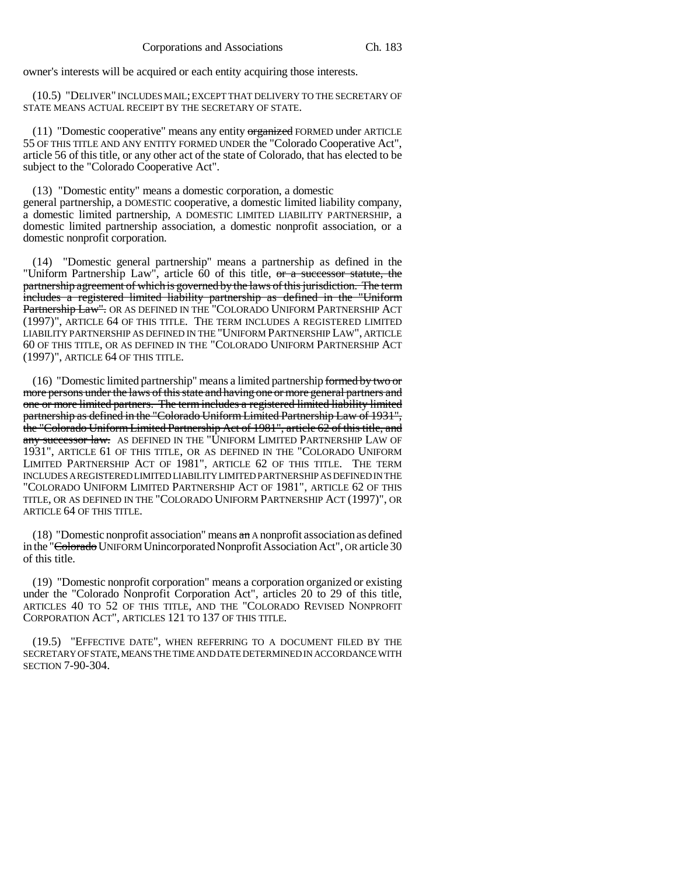owner's interests will be acquired or each entity acquiring those interests.

(10.5) "DELIVER" INCLUDES MAIL; EXCEPT THAT DELIVERY TO THE SECRETARY OF STATE MEANS ACTUAL RECEIPT BY THE SECRETARY OF STATE.

(11) "Domestic cooperative" means any entity organized FORMED under ARTICLE 55 OF THIS TITLE AND ANY ENTITY FORMED UNDER the "Colorado Cooperative Act", article 56 of this title, or any other act of the state of Colorado, that has elected to be subject to the "Colorado Cooperative Act".

(13) "Domestic entity" means a domestic corporation, a domestic general partnership, a DOMESTIC cooperative, a domestic limited liability company, a domestic limited partnership, A DOMESTIC LIMITED LIABILITY PARTNERSHIP, a domestic limited partnership association, a domestic nonprofit association, or a domestic nonprofit corporation.

(14) "Domestic general partnership" means a partnership as defined in the "Uniform Partnership Law", article 60 of this title, or a successor statute, the partnership agreement of which is governed by the laws of this jurisdiction. The term includes a registered limited liability partnership as defined in the "Uniform Partnership Law". OR AS DEFINED IN THE "COLORADO UNIFORM PARTNERSHIP ACT (1997)", ARTICLE 64 OF THIS TITLE. THE TERM INCLUDES A REGISTERED LIMITED LIABILITY PARTNERSHIP AS DEFINED IN THE "UNIFORM PARTNERSHIP LAW", ARTICLE 60 OF THIS TITLE, OR AS DEFINED IN THE "COLORADO UNIFORM PARTNERSHIP ACT (1997)", ARTICLE 64 OF THIS TITLE.

(16) "Domestic limited partnership" means a limited partnership formed by two or more persons under the laws of this state and having one or more general partners and one or more limited partners. The term includes a registered limited liability limited partnership as defined in the "Colorado Uniform Limited Partnership Law of 1931", the "Colorado Uniform Limited Partnership Act of 1981", article 62 of this title, and any successor law. AS DEFINED IN THE "UNIFORM LIMITED PARTNERSHIP LAW OF 1931", ARTICLE 61 OF THIS TITLE, OR AS DEFINED IN THE "COLORADO UNIFORM LIMITED PARTNERSHIP ACT OF 1981", ARTICLE 62 OF THIS TITLE. THE TERM INCLUDES A REGISTERED LIMITED LIABILITY LIMITED PARTNERSHIP AS DEFINED IN THE "COLORADO UNIFORM LIMITED PARTNERSHIP ACT OF 1981", ARTICLE 62 OF THIS TITLE, OR AS DEFINED IN THE "COLORADO UNIFORM PARTNERSHIP ACT (1997)", OR ARTICLE 64 OF THIS TITLE.

(18) "Domestic nonprofit association" means  $a_n$  A nonprofit association as defined in the "Colorado UNIFORM Unincorporated Nonprofit Association Act", OR article 30 of this title.

(19) "Domestic nonprofit corporation" means a corporation organized or existing under the "Colorado Nonprofit Corporation Act", articles 20 to 29 of this title, ARTICLES 40 TO 52 OF THIS TITLE, AND THE "COLORADO REVISED NONPROFIT CORPORATION ACT", ARTICLES 121 TO 137 OF THIS TITLE.

(19.5) "EFFECTIVE DATE", WHEN REFERRING TO A DOCUMENT FILED BY THE SECRETARY OF STATE, MEANS THE TIME AND DATE DETERMINED IN ACCORDANCE WITH SECTION 7-90-304.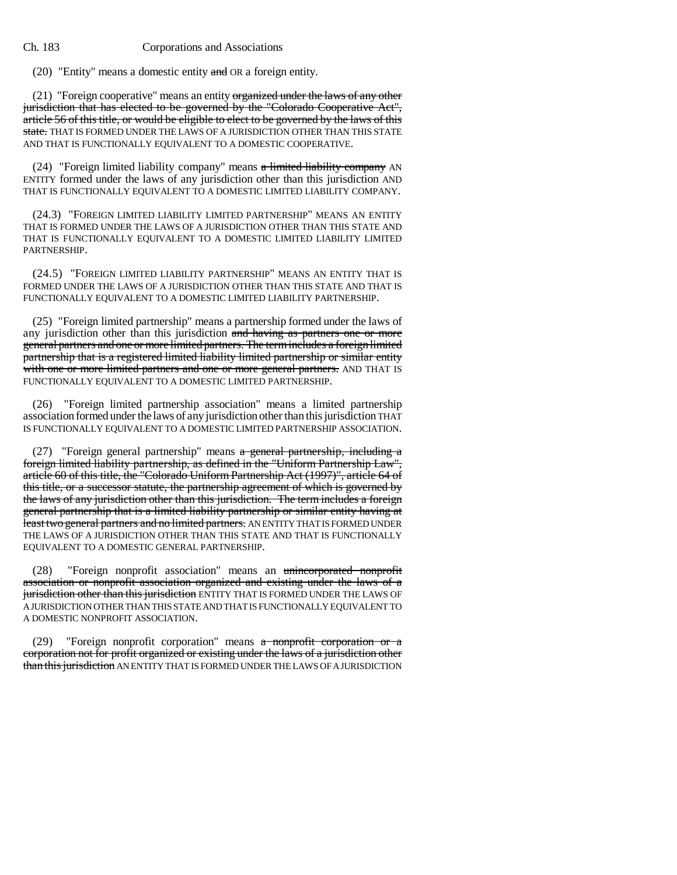(20) "Entity" means a domestic entity  $\frac{1}{x}$  or a foreign entity.

 $(21)$  "Foreign cooperative" means an entity organized under the laws of any other jurisdiction that has elected to be governed by the "Colorado Cooperative Act", article 56 of this title, or would be eligible to elect to be governed by the laws of this state. THAT IS FORMED UNDER THE LAWS OF A JURISDICTION OTHER THAN THIS STATE AND THAT IS FUNCTIONALLY EQUIVALENT TO A DOMESTIC COOPERATIVE.

(24) "Foreign limited liability company" means  $a$  limited liability company AN ENTITY formed under the laws of any jurisdiction other than this jurisdiction AND THAT IS FUNCTIONALLY EQUIVALENT TO A DOMESTIC LIMITED LIABILITY COMPANY.

(24.3) "FOREIGN LIMITED LIABILITY LIMITED PARTNERSHIP" MEANS AN ENTITY THAT IS FORMED UNDER THE LAWS OF A JURISDICTION OTHER THAN THIS STATE AND THAT IS FUNCTIONALLY EQUIVALENT TO A DOMESTIC LIMITED LIABILITY LIMITED PARTNERSHIP.

(24.5) "FOREIGN LIMITED LIABILITY PARTNERSHIP" MEANS AN ENTITY THAT IS FORMED UNDER THE LAWS OF A JURISDICTION OTHER THAN THIS STATE AND THAT IS FUNCTIONALLY EQUIVALENT TO A DOMESTIC LIMITED LIABILITY PARTNERSHIP.

(25) "Foreign limited partnership" means a partnership formed under the laws of any jurisdiction other than this jurisdiction and having as partners one or more general partners and one or more limited partners. The term includes a foreign limited partnership that is a registered limited liability limited partnership or similar entity with one or more limited partners and one or more general partners. AND THAT IS FUNCTIONALLY EQUIVALENT TO A DOMESTIC LIMITED PARTNERSHIP.

(26) "Foreign limited partnership association" means a limited partnership association formed under the laws of any jurisdiction other than this jurisdiction THAT IS FUNCTIONALLY EQUIVALENT TO A DOMESTIC LIMITED PARTNERSHIP ASSOCIATION.

(27) "Foreign general partnership" means a general partnership, including a foreign limited liability partnership, as defined in the "Uniform Partnership Law", article 60 of this title, the "Colorado Uniform Partnership Act (1997)", article 64 of this title, or a successor statute, the partnership agreement of which is governed by the laws of any jurisdiction other than this jurisdiction. The term includes a foreign general partnership that is a limited liability partnership or similar entity having at least two general partners and no limited partners. AN ENTITY THAT IS FORMED UNDER THE LAWS OF A JURISDICTION OTHER THAN THIS STATE AND THAT IS FUNCTIONALLY EQUIVALENT TO A DOMESTIC GENERAL PARTNERSHIP.

(28) "Foreign nonprofit association" means an unincorporated nonprofit association or nonprofit association organized and existing under the laws of a jurisdiction other than this jurisdiction ENTITY THAT IS FORMED UNDER THE LAWS OF A JURISDICTION OTHER THAN THIS STATE AND THAT IS FUNCTIONALLY EQUIVALENT TO A DOMESTIC NONPROFIT ASSOCIATION.

(29) "Foreign nonprofit corporation" means a nonprofit corporation or a corporation not for profit organized or existing under the laws of a jurisdiction other than this jurisdiction AN ENTITY THAT IS FORMED UNDER THE LAWS OF A JURISDICTION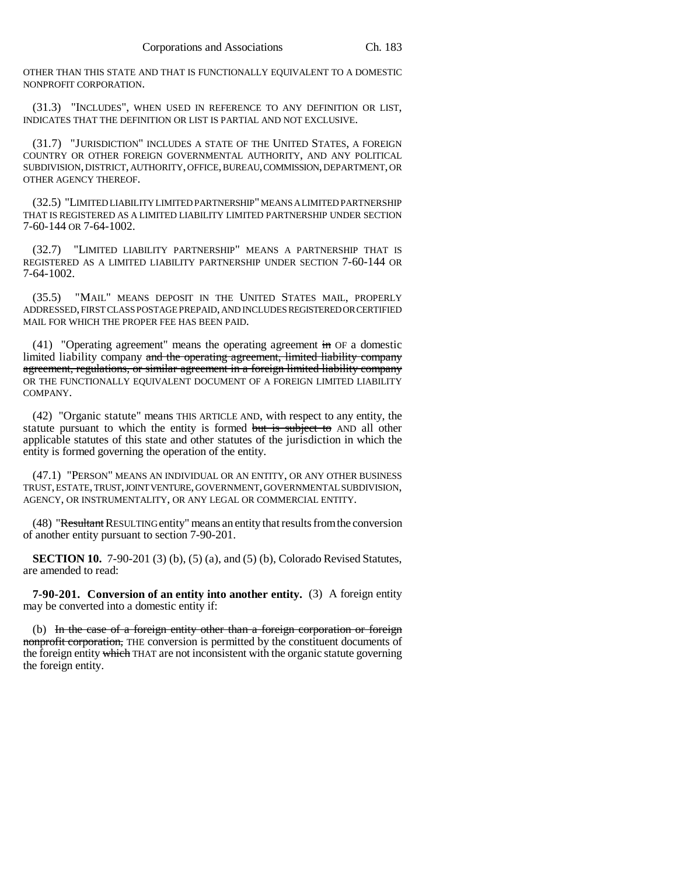OTHER THAN THIS STATE AND THAT IS FUNCTIONALLY EQUIVALENT TO A DOMESTIC NONPROFIT CORPORATION.

(31.3) "INCLUDES", WHEN USED IN REFERENCE TO ANY DEFINITION OR LIST, INDICATES THAT THE DEFINITION OR LIST IS PARTIAL AND NOT EXCLUSIVE.

(31.7) "JURISDICTION" INCLUDES A STATE OF THE UNITED STATES, A FOREIGN COUNTRY OR OTHER FOREIGN GOVERNMENTAL AUTHORITY, AND ANY POLITICAL SUBDIVISION, DISTRICT, AUTHORITY, OFFICE, BUREAU, COMMISSION, DEPARTMENT, OR OTHER AGENCY THEREOF.

(32.5) "LIMITED LIABILITY LIMITED PARTNERSHIP" MEANS A LIMITED PARTNERSHIP THAT IS REGISTERED AS A LIMITED LIABILITY LIMITED PARTNERSHIP UNDER SECTION 7-60-144 OR 7-64-1002.

(32.7) "LIMITED LIABILITY PARTNERSHIP" MEANS A PARTNERSHIP THAT IS REGISTERED AS A LIMITED LIABILITY PARTNERSHIP UNDER SECTION 7-60-144 OR 7-64-1002.

(35.5) "MAIL" MEANS DEPOSIT IN THE UNITED STATES MAIL, PROPERLY ADDRESSED, FIRST CLASS POSTAGE PREPAID, AND INCLUDES REGISTERED OR CERTIFIED MAIL FOR WHICH THE PROPER FEE HAS BEEN PAID.

(41) "Operating agreement" means the operating agreement  $\overline{m}$  OF a domestic limited liability company and the operating agreement, limited liability company agreement, regulations, or similar agreement in a foreign limited liability company OR THE FUNCTIONALLY EQUIVALENT DOCUMENT OF A FOREIGN LIMITED LIABILITY COMPANY.

(42) "Organic statute" means THIS ARTICLE AND, with respect to any entity, the statute pursuant to which the entity is formed but is subject to AND all other applicable statutes of this state and other statutes of the jurisdiction in which the entity is formed governing the operation of the entity.

(47.1) "PERSON" MEANS AN INDIVIDUAL OR AN ENTITY, OR ANY OTHER BUSINESS TRUST, ESTATE, TRUST, JOINT VENTURE, GOVERNMENT, GOVERNMENTAL SUBDIVISION, AGENCY, OR INSTRUMENTALITY, OR ANY LEGAL OR COMMERCIAL ENTITY.

(48) "Resultant RESULTING entity" means an entity that results from the conversion of another entity pursuant to section 7-90-201.

**SECTION 10.** 7-90-201 (3) (b), (5) (a), and (5) (b), Colorado Revised Statutes, are amended to read:

**7-90-201. Conversion of an entity into another entity.** (3) A foreign entity may be converted into a domestic entity if:

(b) In the case of a foreign entity other than a foreign corporation or foreign nonprofit corporation, THE conversion is permitted by the constituent documents of the foreign entity which THAT are not inconsistent with the organic statute governing the foreign entity.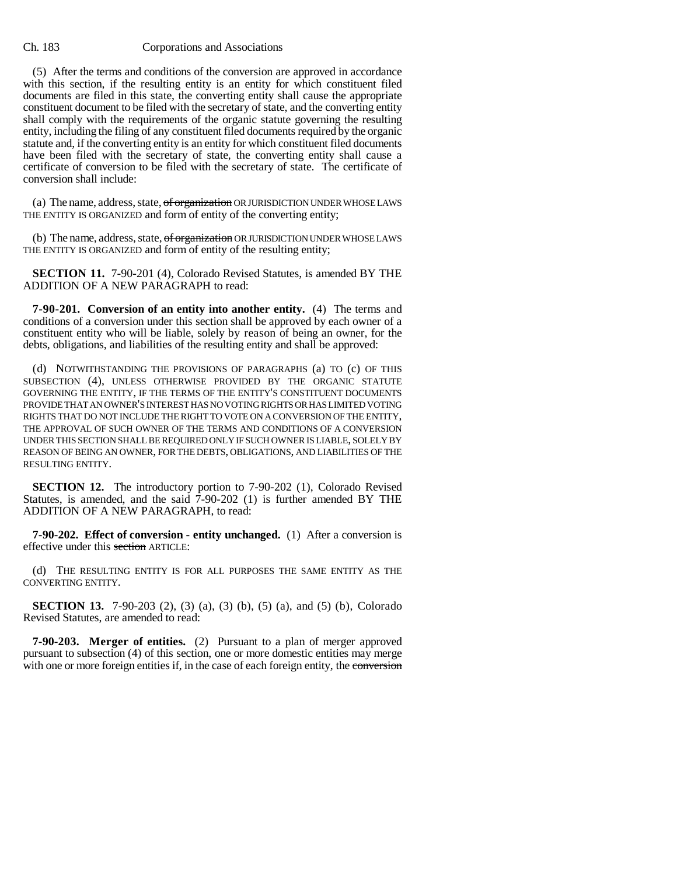(5) After the terms and conditions of the conversion are approved in accordance with this section, if the resulting entity is an entity for which constituent filed documents are filed in this state, the converting entity shall cause the appropriate constituent document to be filed with the secretary of state, and the converting entity shall comply with the requirements of the organic statute governing the resulting entity, including the filing of any constituent filed documents required by the organic statute and, if the converting entity is an entity for which constituent filed documents have been filed with the secretary of state, the converting entity shall cause a certificate of conversion to be filed with the secretary of state. The certificate of conversion shall include:

(a) The name, address, state,  $of organization$  OR JURISDICTION UNDER WHOSE LAWS THE ENTITY IS ORGANIZED and form of entity of the converting entity;

(b) The name, address, state, of organization OR JURISDICTION UNDER WHOSE LAWS THE ENTITY IS ORGANIZED and form of entity of the resulting entity;

**SECTION 11.** 7-90-201 (4), Colorado Revised Statutes, is amended BY THE ADDITION OF A NEW PARAGRAPH to read:

**7-90-201. Conversion of an entity into another entity.** (4) The terms and conditions of a conversion under this section shall be approved by each owner of a constituent entity who will be liable, solely by reason of being an owner, for the debts, obligations, and liabilities of the resulting entity and shall be approved:

(d) NOTWITHSTANDING THE PROVISIONS OF PARAGRAPHS (a) TO (c) OF THIS SUBSECTION (4), UNLESS OTHERWISE PROVIDED BY THE ORGANIC STATUTE GOVERNING THE ENTITY, IF THE TERMS OF THE ENTITY'S CONSTITUENT DOCUMENTS PROVIDE THAT AN OWNER'S INTEREST HAS NO VOTING RIGHTS OR HAS LIMITED VOTING RIGHTS THAT DO NOT INCLUDE THE RIGHT TO VOTE ON A CONVERSION OF THE ENTITY, THE APPROVAL OF SUCH OWNER OF THE TERMS AND CONDITIONS OF A CONVERSION UNDER THIS SECTION SHALL BE REQUIRED ONLY IF SUCH OWNER IS LIABLE, SOLELY BY REASON OF BEING AN OWNER, FOR THE DEBTS, OBLIGATIONS, AND LIABILITIES OF THE RESULTING ENTITY.

**SECTION 12.** The introductory portion to 7-90-202 (1), Colorado Revised Statutes, is amended, and the said 7-90-202 (1) is further amended BY THE ADDITION OF A NEW PARAGRAPH, to read:

**7-90-202. Effect of conversion - entity unchanged.** (1) After a conversion is effective under this section ARTICLE:

(d) THE RESULTING ENTITY IS FOR ALL PURPOSES THE SAME ENTITY AS THE CONVERTING ENTITY.

**SECTION 13.** 7-90-203 (2), (3) (a), (3) (b), (5) (a), and (5) (b), Colorado Revised Statutes, are amended to read:

**7-90-203. Merger of entities.** (2) Pursuant to a plan of merger approved pursuant to subsection (4) of this section, one or more domestic entities may merge with one or more foreign entities if, in the case of each foreign entity, the conversion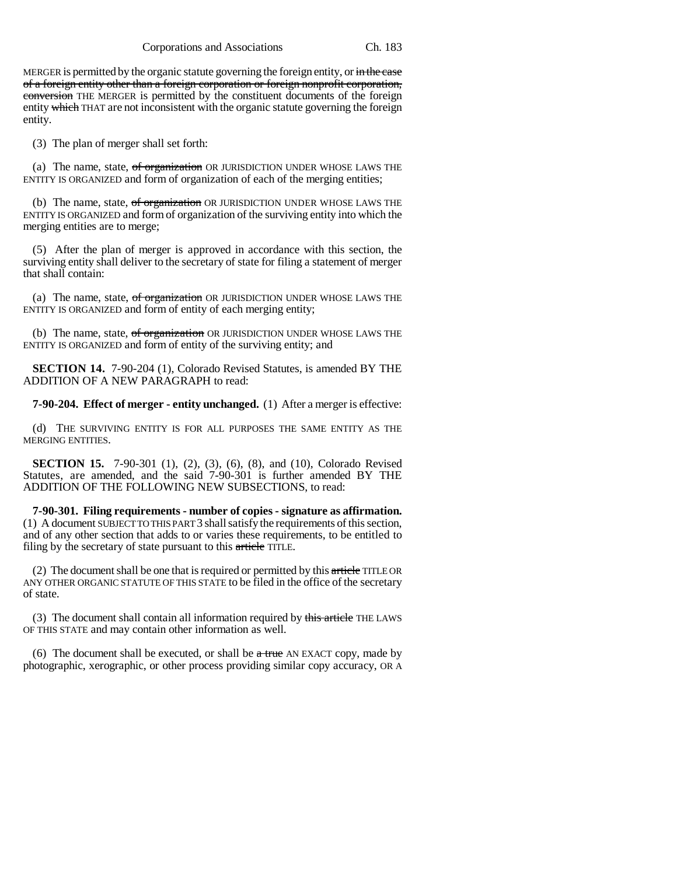MERGER is permitted by the organic statute governing the foreign entity, or in the case of a foreign entity other than a foreign corporation or foreign nonprofit corporation, conversion THE MERGER is permitted by the constituent documents of the foreign entity which THAT are not inconsistent with the organic statute governing the foreign entity.

(3) The plan of merger shall set forth:

(a) The name, state,  $of$  organization OR JURISDICTION UNDER WHOSE LAWS THE ENTITY IS ORGANIZED and form of organization of each of the merging entities;

(b) The name, state,  $of organization$  OR JURISDICTION UNDER WHOSE LAWS THE ENTITY IS ORGANIZED and form of organization of the surviving entity into which the merging entities are to merge;

(5) After the plan of merger is approved in accordance with this section, the surviving entity shall deliver to the secretary of state for filing a statement of merger that shall contain:

(a) The name, state, of organization OR JURISDICTION UNDER WHOSE LAWS THE ENTITY IS ORGANIZED and form of entity of each merging entity;

(b) The name, state, of organization OR JURISDICTION UNDER WHOSE LAWS THE ENTITY IS ORGANIZED and form of entity of the surviving entity; and

**SECTION 14.** 7-90-204 (1), Colorado Revised Statutes, is amended BY THE ADDITION OF A NEW PARAGRAPH to read:

**7-90-204. Effect of merger - entity unchanged.** (1) After a merger is effective:

(d) THE SURVIVING ENTITY IS FOR ALL PURPOSES THE SAME ENTITY AS THE MERGING ENTITIES.

**SECTION 15.** 7-90-301 (1), (2), (3), (6), (8), and (10), Colorado Revised Statutes, are amended, and the said 7-90-301 is further amended BY THE ADDITION OF THE FOLLOWING NEW SUBSECTIONS, to read:

**7-90-301. Filing requirements - number of copies - signature as affirmation.** (1) A document SUBJECT TO THIS PART 3 shall satisfy the requirements of this section, and of any other section that adds to or varies these requirements, to be entitled to filing by the secretary of state pursuant to this article TITLE.

(2) The document shall be one that is required or permitted by this  $\frac{article}{\text{article}}$  TITLE OR ANY OTHER ORGANIC STATUTE OF THIS STATE to be filed in the office of the secretary of state.

(3) The document shall contain all information required by this article THE LAWS OF THIS STATE and may contain other information as well.

(6) The document shall be executed, or shall be  $\alpha$  true AN EXACT copy, made by photographic, xerographic, or other process providing similar copy accuracy, OR A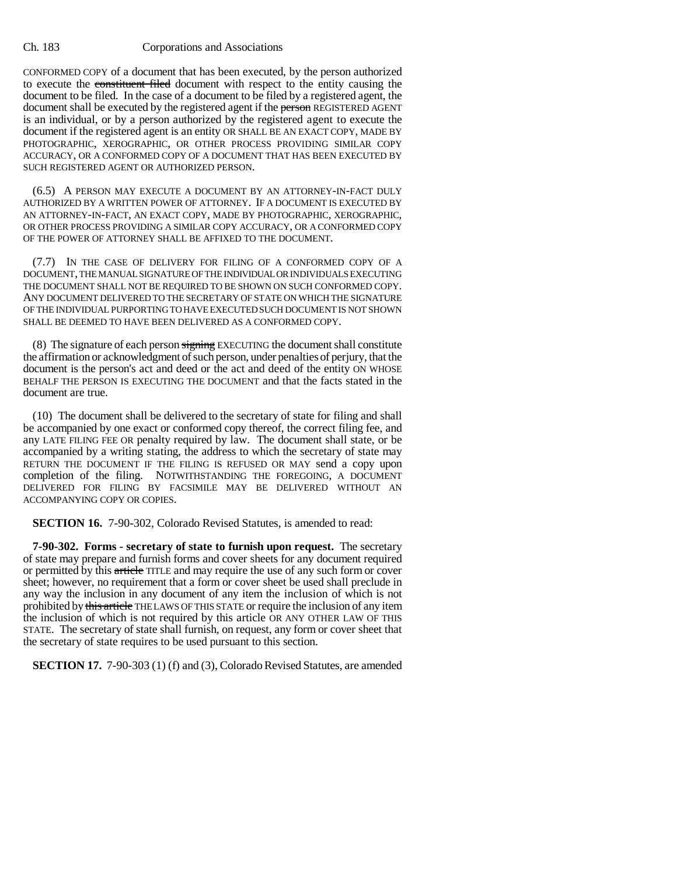CONFORMED COPY of a document that has been executed, by the person authorized to execute the constituent filed document with respect to the entity causing the document to be filed. In the case of a document to be filed by a registered agent, the document shall be executed by the registered agent if the person REGISTERED AGENT is an individual, or by a person authorized by the registered agent to execute the document if the registered agent is an entity OR SHALL BE AN EXACT COPY, MADE BY PHOTOGRAPHIC, XEROGRAPHIC, OR OTHER PROCESS PROVIDING SIMILAR COPY ACCURACY, OR A CONFORMED COPY OF A DOCUMENT THAT HAS BEEN EXECUTED BY SUCH REGISTERED AGENT OR AUTHORIZED PERSON.

(6.5) A PERSON MAY EXECUTE A DOCUMENT BY AN ATTORNEY-IN-FACT DULY AUTHORIZED BY A WRITTEN POWER OF ATTORNEY. IF A DOCUMENT IS EXECUTED BY AN ATTORNEY-IN-FACT, AN EXACT COPY, MADE BY PHOTOGRAPHIC, XEROGRAPHIC, OR OTHER PROCESS PROVIDING A SIMILAR COPY ACCURACY, OR A CONFORMED COPY OF THE POWER OF ATTORNEY SHALL BE AFFIXED TO THE DOCUMENT.

(7.7) IN THE CASE OF DELIVERY FOR FILING OF A CONFORMED COPY OF A DOCUMENT, THE MANUAL SIGNATURE OF THE INDIVIDUAL OR INDIVIDUALS EXECUTING THE DOCUMENT SHALL NOT BE REQUIRED TO BE SHOWN ON SUCH CONFORMED COPY. ANY DOCUMENT DELIVERED TO THE SECRETARY OF STATE ON WHICH THE SIGNATURE OF THE INDIVIDUAL PURPORTING TO HAVE EXECUTED SUCH DOCUMENT IS NOT SHOWN SHALL BE DEEMED TO HAVE BEEN DELIVERED AS A CONFORMED COPY.

(8) The signature of each person signing EXECUTING the document shall constitute the affirmation or acknowledgment of such person, under penalties of perjury, that the document is the person's act and deed or the act and deed of the entity ON WHOSE BEHALF THE PERSON IS EXECUTING THE DOCUMENT and that the facts stated in the document are true.

(10) The document shall be delivered to the secretary of state for filing and shall be accompanied by one exact or conformed copy thereof, the correct filing fee, and any LATE FILING FEE OR penalty required by law. The document shall state, or be accompanied by a writing stating, the address to which the secretary of state may RETURN THE DOCUMENT IF THE FILING IS REFUSED OR MAY send a copy upon completion of the filing. NOTWITHSTANDING THE FOREGOING, A DOCUMENT DELIVERED FOR FILING BY FACSIMILE MAY BE DELIVERED WITHOUT AN ACCOMPANYING COPY OR COPIES.

**SECTION 16.** 7-90-302, Colorado Revised Statutes, is amended to read:

**7-90-302. Forms - secretary of state to furnish upon request.** The secretary of state may prepare and furnish forms and cover sheets for any document required or permitted by this article TITLE and may require the use of any such form or cover sheet; however, no requirement that a form or cover sheet be used shall preclude in any way the inclusion in any document of any item the inclusion of which is not prohibited by this article THE LAWS OF THIS STATE or require the inclusion of any item the inclusion of which is not required by this article OR ANY OTHER LAW OF THIS STATE. The secretary of state shall furnish, on request, any form or cover sheet that the secretary of state requires to be used pursuant to this section.

**SECTION 17.** 7-90-303 (1) (f) and (3), Colorado Revised Statutes, are amended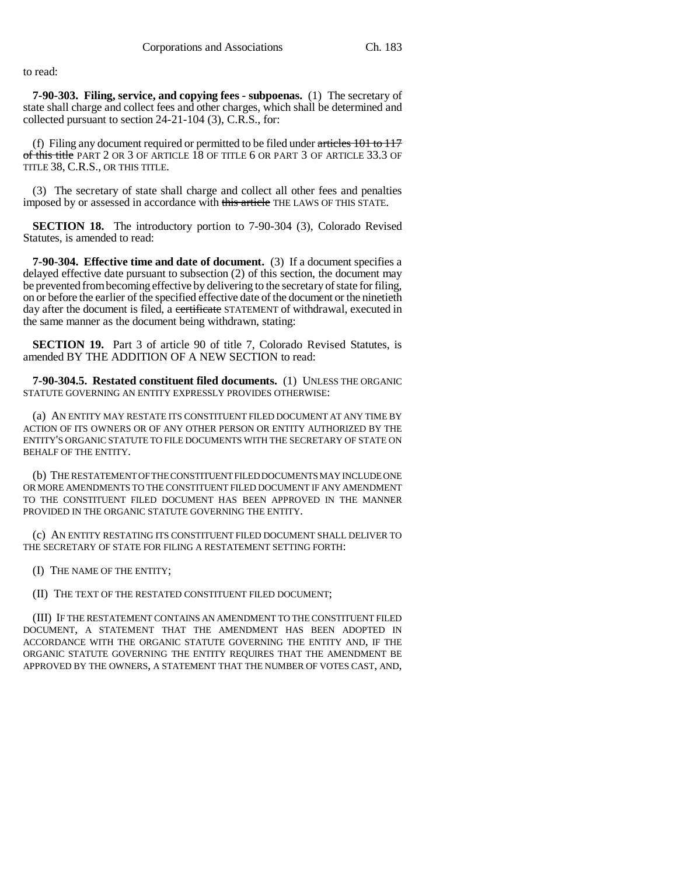to read:

**7-90-303. Filing, service, and copying fees - subpoenas.** (1) The secretary of state shall charge and collect fees and other charges, which shall be determined and collected pursuant to section 24-21-104 (3), C.R.S., for:

(f) Filing any document required or permitted to be filed under  $\frac{\text{articles}}{101}$  to  $\frac{117}{100}$ of this title PART 2 OR 3 OF ARTICLE 18 OF TITLE 6 OR PART 3 OF ARTICLE 33.3 OF TITLE 38, C.R.S., OR THIS TITLE.

(3) The secretary of state shall charge and collect all other fees and penalties imposed by or assessed in accordance with this article THE LAWS OF THIS STATE.

**SECTION 18.** The introductory portion to 7-90-304 (3), Colorado Revised Statutes, is amended to read:

**7-90-304. Effective time and date of document.** (3) If a document specifies a delayed effective date pursuant to subsection (2) of this section, the document may be prevented from becoming effective by delivering to the secretary of state for filing, on or before the earlier of the specified effective date of the document or the ninetieth day after the document is filed, a certificate STATEMENT of withdrawal, executed in the same manner as the document being withdrawn, stating:

**SECTION 19.** Part 3 of article 90 of title 7, Colorado Revised Statutes, is amended BY THE ADDITION OF A NEW SECTION to read:

**7-90-304.5. Restated constituent filed documents.** (1) UNLESS THE ORGANIC STATUTE GOVERNING AN ENTITY EXPRESSLY PROVIDES OTHERWISE:

(a) AN ENTITY MAY RESTATE ITS CONSTITUENT FILED DOCUMENT AT ANY TIME BY ACTION OF ITS OWNERS OR OF ANY OTHER PERSON OR ENTITY AUTHORIZED BY THE ENTITY'S ORGANIC STATUTE TO FILE DOCUMENTS WITH THE SECRETARY OF STATE ON BEHALF OF THE ENTITY.

(b) THE RESTATEMENT OF THE CONSTITUENT FILED DOCUMENTS MAY INCLUDE ONE OR MORE AMENDMENTS TO THE CONSTITUENT FILED DOCUMENT IF ANY AMENDMENT TO THE CONSTITUENT FILED DOCUMENT HAS BEEN APPROVED IN THE MANNER PROVIDED IN THE ORGANIC STATUTE GOVERNING THE ENTITY.

(c) AN ENTITY RESTATING ITS CONSTITUENT FILED DOCUMENT SHALL DELIVER TO THE SECRETARY OF STATE FOR FILING A RESTATEMENT SETTING FORTH:

(I) THE NAME OF THE ENTITY;

(II) THE TEXT OF THE RESTATED CONSTITUENT FILED DOCUMENT;

(III) IF THE RESTATEMENT CONTAINS AN AMENDMENT TO THE CONSTITUENT FILED DOCUMENT, A STATEMENT THAT THE AMENDMENT HAS BEEN ADOPTED IN ACCORDANCE WITH THE ORGANIC STATUTE GOVERNING THE ENTITY AND, IF THE ORGANIC STATUTE GOVERNING THE ENTITY REQUIRES THAT THE AMENDMENT BE APPROVED BY THE OWNERS, A STATEMENT THAT THE NUMBER OF VOTES CAST, AND,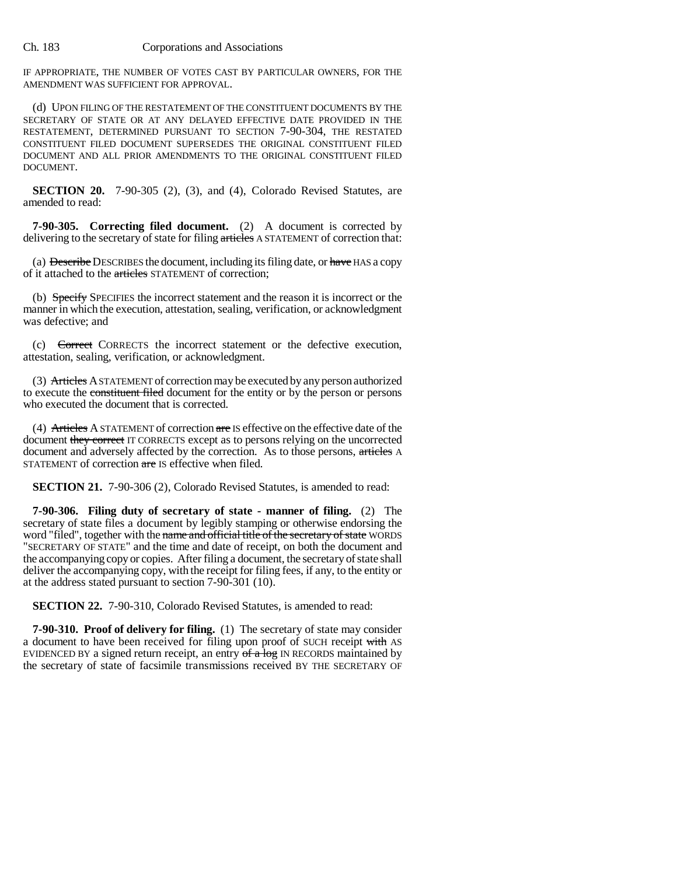IF APPROPRIATE, THE NUMBER OF VOTES CAST BY PARTICULAR OWNERS, FOR THE AMENDMENT WAS SUFFICIENT FOR APPROVAL.

(d) UPON FILING OF THE RESTATEMENT OF THE CONSTITUENT DOCUMENTS BY THE SECRETARY OF STATE OR AT ANY DELAYED EFFECTIVE DATE PROVIDED IN THE RESTATEMENT, DETERMINED PURSUANT TO SECTION 7-90-304, THE RESTATED CONSTITUENT FILED DOCUMENT SUPERSEDES THE ORIGINAL CONSTITUENT FILED DOCUMENT AND ALL PRIOR AMENDMENTS TO THE ORIGINAL CONSTITUENT FILED DOCUMENT.

**SECTION 20.** 7-90-305 (2), (3), and (4), Colorado Revised Statutes, are amended to read:

**7-90-305. Correcting filed document.** (2) A document is corrected by delivering to the secretary of state for filing articles A STATEMENT of correction that:

(a) Describe DESCRIBES the document, including its filing date, or have HAS a copy of it attached to the articles STATEMENT of correction;

(b) Specify SPECIFIES the incorrect statement and the reason it is incorrect or the manner in which the execution, attestation, sealing, verification, or acknowledgment was defective; and

(c) Correct CORRECTS the incorrect statement or the defective execution, attestation, sealing, verification, or acknowledgment.

(3) Articles A STATEMENT of correction may be executed by any person authorized to execute the constituent filed document for the entity or by the person or persons who executed the document that is corrected.

(4) Articles A STATEMENT of correction are IS effective on the effective date of the document they correct IT CORRECTS except as to persons relying on the uncorrected document and adversely affected by the correction. As to those persons, articles A STATEMENT of correction are IS effective when filed.

**SECTION 21.** 7-90-306 (2), Colorado Revised Statutes, is amended to read:

**7-90-306. Filing duty of secretary of state - manner of filing.** (2) The secretary of state files a document by legibly stamping or otherwise endorsing the word "filed", together with the name and official title of the secretary of state WORDS "SECRETARY OF STATE" and the time and date of receipt, on both the document and the accompanying copy or copies. After filing a document, the secretary of state shall deliver the accompanying copy, with the receipt for filing fees, if any, to the entity or at the address stated pursuant to section 7-90-301 (10).

**SECTION 22.** 7-90-310, Colorado Revised Statutes, is amended to read:

**7-90-310. Proof of delivery for filing.** (1) The secretary of state may consider a document to have been received for filing upon proof of SUCH receipt with AS EVIDENCED BY a signed return receipt, an entry  $of$  a log IN RECORDS maintained by the secretary of state of facsimile transmissions received BY THE SECRETARY OF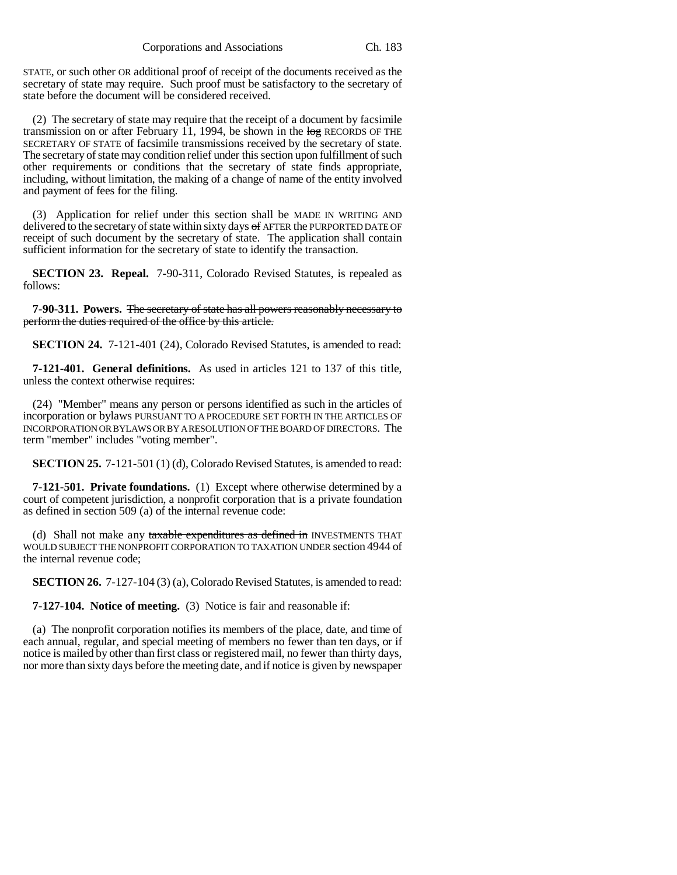STATE, or such other OR additional proof of receipt of the documents received as the secretary of state may require. Such proof must be satisfactory to the secretary of state before the document will be considered received.

(2) The secretary of state may require that the receipt of a document by facsimile transmission on or after February 11, 1994, be shown in the  $\log$  RECORDS OF THE SECRETARY OF STATE of facsimile transmissions received by the secretary of state. The secretary of state may condition relief under this section upon fulfillment of such other requirements or conditions that the secretary of state finds appropriate, including, without limitation, the making of a change of name of the entity involved and payment of fees for the filing.

(3) Application for relief under this section shall be MADE IN WRITING AND delivered to the secretary of state within sixty days of AFTER the PURPORTED DATE OF receipt of such document by the secretary of state. The application shall contain sufficient information for the secretary of state to identify the transaction.

**SECTION 23. Repeal.** 7-90-311, Colorado Revised Statutes, is repealed as follows:

**7-90-311. Powers.** The secretary of state has all powers reasonably necessary to perform the duties required of the office by this article.

**SECTION 24.** 7-121-401 (24), Colorado Revised Statutes, is amended to read:

**7-121-401. General definitions.** As used in articles 121 to 137 of this title, unless the context otherwise requires:

(24) "Member" means any person or persons identified as such in the articles of incorporation or bylaws PURSUANT TO A PROCEDURE SET FORTH IN THE ARTICLES OF INCORPORATION OR BYLAWS OR BY A RESOLUTION OF THE BOARD OF DIRECTORS. The term "member" includes "voting member".

**SECTION 25.** 7-121-501 (1) (d), Colorado Revised Statutes, is amended to read:

**7-121-501. Private foundations.** (1) Except where otherwise determined by a court of competent jurisdiction, a nonprofit corporation that is a private foundation as defined in section 509 (a) of the internal revenue code:

(d) Shall not make any taxable expenditures as defined in INVESTMENTS THAT WOULD SUBJECT THE NONPROFIT CORPORATION TO TAXATION UNDER section 4944 of the internal revenue code;

**SECTION 26.** 7-127-104 (3) (a), Colorado Revised Statutes, is amended to read:

**7-127-104. Notice of meeting.** (3) Notice is fair and reasonable if:

(a) The nonprofit corporation notifies its members of the place, date, and time of each annual, regular, and special meeting of members no fewer than ten days, or if notice is mailed by other than first class or registered mail, no fewer than thirty days, nor more than sixty days before the meeting date, and if notice is given by newspaper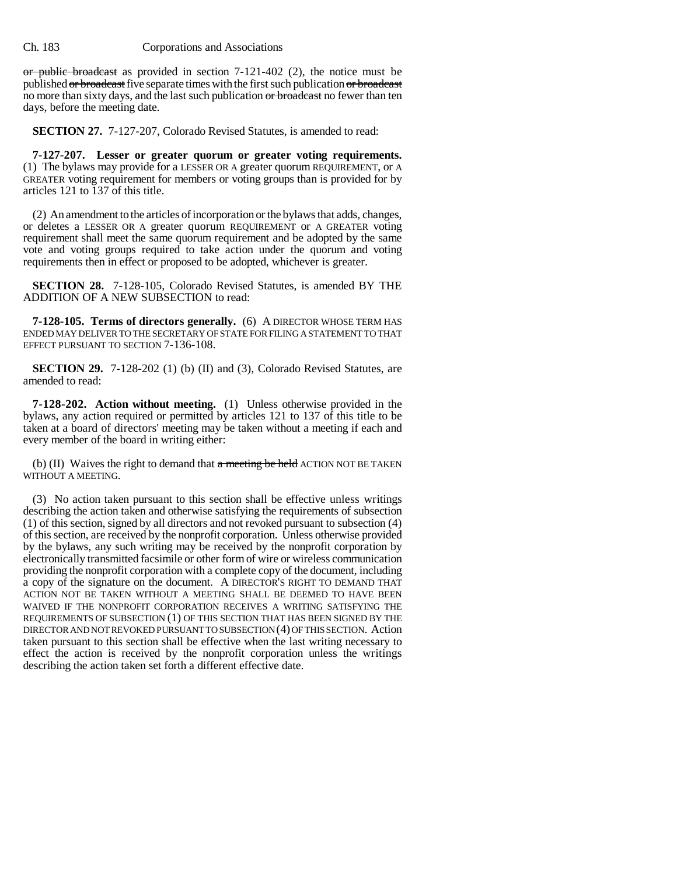or public broadcast as provided in section  $7-121-402$  (2), the notice must be published or broadcast five separate times with the first such publication or broadcast no more than sixty days, and the last such publication or broadcast no fewer than ten days, before the meeting date.

**SECTION 27.** 7-127-207, Colorado Revised Statutes, is amended to read:

**7-127-207. Lesser or greater quorum or greater voting requirements.** (1) The bylaws may provide for a LESSER OR A greater quorum REQUIREMENT, or A GREATER voting requirement for members or voting groups than is provided for by articles 121 to 137 of this title.

(2) An amendment to the articles of incorporation or the bylaws that adds, changes, or deletes a LESSER OR A greater quorum REQUIREMENT or A GREATER voting requirement shall meet the same quorum requirement and be adopted by the same vote and voting groups required to take action under the quorum and voting requirements then in effect or proposed to be adopted, whichever is greater.

**SECTION 28.** 7-128-105, Colorado Revised Statutes, is amended BY THE ADDITION OF A NEW SUBSECTION to read:

**7-128-105. Terms of directors generally.** (6) A DIRECTOR WHOSE TERM HAS ENDED MAY DELIVER TO THE SECRETARY OF STATE FOR FILING A STATEMENT TO THAT EFFECT PURSUANT TO SECTION 7-136-108.

**SECTION 29.** 7-128-202 (1) (b) (II) and (3), Colorado Revised Statutes, are amended to read:

**7-128-202. Action without meeting.** (1) Unless otherwise provided in the bylaws, any action required or permitted by articles 121 to 137 of this title to be taken at a board of directors' meeting may be taken without a meeting if each and every member of the board in writing either:

(b) (II) Waives the right to demand that  $\alpha$  meeting be held ACTION NOT BE TAKEN WITHOUT A MEETING.

(3) No action taken pursuant to this section shall be effective unless writings describing the action taken and otherwise satisfying the requirements of subsection (1) of this section, signed by all directors and not revoked pursuant to subsection (4) of this section, are received by the nonprofit corporation. Unless otherwise provided by the bylaws, any such writing may be received by the nonprofit corporation by electronically transmitted facsimile or other form of wire or wireless communication providing the nonprofit corporation with a complete copy of the document, including a copy of the signature on the document. A DIRECTOR'S RIGHT TO DEMAND THAT ACTION NOT BE TAKEN WITHOUT A MEETING SHALL BE DEEMED TO HAVE BEEN WAIVED IF THE NONPROFIT CORPORATION RECEIVES A WRITING SATISFYING THE REQUIREMENTS OF SUBSECTION (1) OF THIS SECTION THAT HAS BEEN SIGNED BY THE DIRECTOR AND NOT REVOKED PURSUANT TO SUBSECTION (4) OF THIS SECTION. Action taken pursuant to this section shall be effective when the last writing necessary to effect the action is received by the nonprofit corporation unless the writings describing the action taken set forth a different effective date.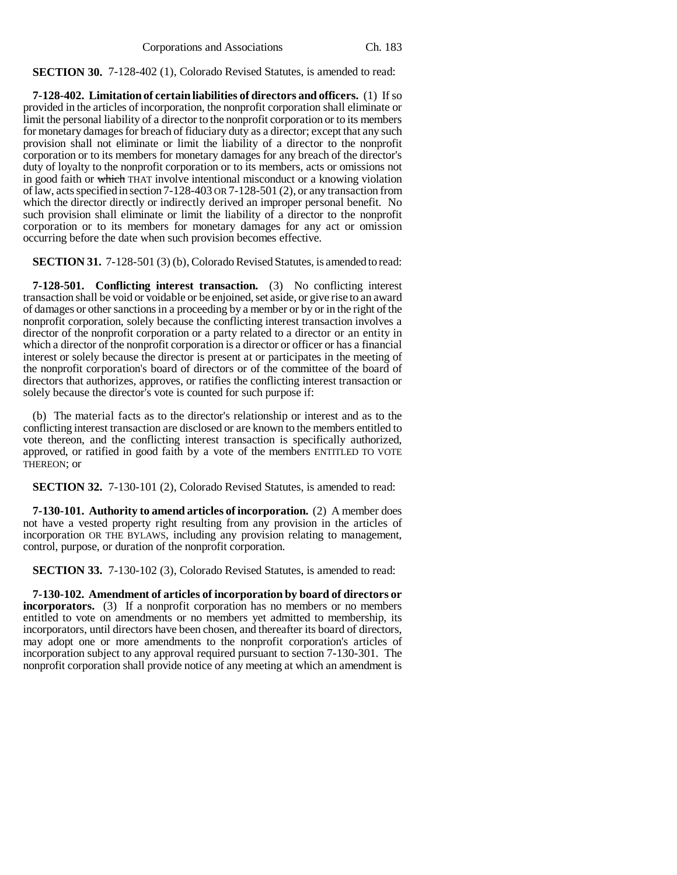**SECTION 30.** 7-128-402 (1), Colorado Revised Statutes, is amended to read:

**7-128-402. Limitation of certain liabilities of directors and officers.** (1) If so provided in the articles of incorporation, the nonprofit corporation shall eliminate or limit the personal liability of a director to the nonprofit corporation or to its members for monetary damages for breach of fiduciary duty as a director; except that any such provision shall not eliminate or limit the liability of a director to the nonprofit corporation or to its members for monetary damages for any breach of the director's duty of loyalty to the nonprofit corporation or to its members, acts or omissions not in good faith or which THAT involve intentional misconduct or a knowing violation of law, acts specified in section 7-128-403 OR 7-128-501 (2), or any transaction from which the director directly or indirectly derived an improper personal benefit. No such provision shall eliminate or limit the liability of a director to the nonprofit corporation or to its members for monetary damages for any act or omission occurring before the date when such provision becomes effective.

**SECTION 31.** 7-128-501 (3) (b), Colorado Revised Statutes, is amended to read:

**7-128-501. Conflicting interest transaction.** (3) No conflicting interest transaction shall be void or voidable or be enjoined, set aside, or give rise to an award of damages or other sanctions in a proceeding by a member or by or in the right of the nonprofit corporation, solely because the conflicting interest transaction involves a director of the nonprofit corporation or a party related to a director or an entity in which a director of the nonprofit corporation is a director or officer or has a financial interest or solely because the director is present at or participates in the meeting of the nonprofit corporation's board of directors or of the committee of the board of directors that authorizes, approves, or ratifies the conflicting interest transaction or solely because the director's vote is counted for such purpose if:

(b) The material facts as to the director's relationship or interest and as to the conflicting interest transaction are disclosed or are known to the members entitled to vote thereon, and the conflicting interest transaction is specifically authorized, approved, or ratified in good faith by a vote of the members ENTITLED TO VOTE THEREON; or

**SECTION 32.** 7-130-101 (2), Colorado Revised Statutes, is amended to read:

**7-130-101. Authority to amend articles of incorporation.** (2) A member does not have a vested property right resulting from any provision in the articles of incorporation OR THE BYLAWS, including any provision relating to management, control, purpose, or duration of the nonprofit corporation.

**SECTION 33.** 7-130-102 (3), Colorado Revised Statutes, is amended to read:

**7-130-102. Amendment of articles of incorporation by board of directors or incorporators.** (3) If a nonprofit corporation has no members or no members entitled to vote on amendments or no members yet admitted to membership, its incorporators, until directors have been chosen, and thereafter its board of directors, may adopt one or more amendments to the nonprofit corporation's articles of incorporation subject to any approval required pursuant to section 7-130-301. The nonprofit corporation shall provide notice of any meeting at which an amendment is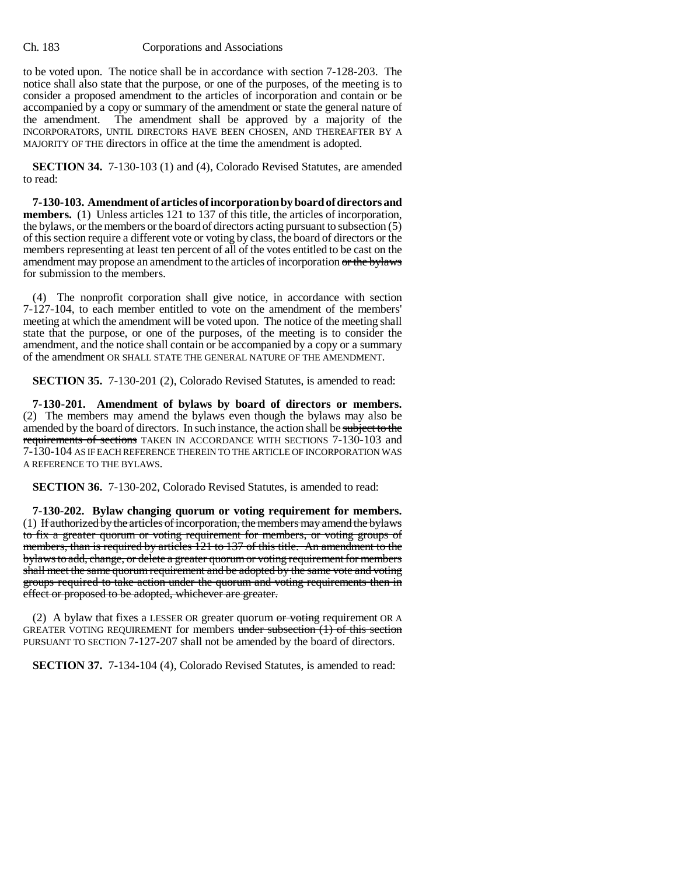to be voted upon. The notice shall be in accordance with section 7-128-203. The notice shall also state that the purpose, or one of the purposes, of the meeting is to consider a proposed amendment to the articles of incorporation and contain or be accompanied by a copy or summary of the amendment or state the general nature of the amendment. The amendment shall be approved by a majority of the INCORPORATORS, UNTIL DIRECTORS HAVE BEEN CHOSEN, AND THEREAFTER BY A MAJORITY OF THE directors in office at the time the amendment is adopted.

**SECTION 34.** 7-130-103 (1) and (4), Colorado Revised Statutes, are amended to read:

**7-130-103. Amendment of articles of incorporation by board of directors and members.** (1) Unless articles 121 to 137 of this title, the articles of incorporation, the bylaws, or the members or the board of directors acting pursuant to subsection (5) of this section require a different vote or voting by class, the board of directors or the members representing at least ten percent of all of the votes entitled to be cast on the amendment may propose an amendment to the articles of incorporation or the bylaws for submission to the members.

(4) The nonprofit corporation shall give notice, in accordance with section 7-127-104, to each member entitled to vote on the amendment of the members' meeting at which the amendment will be voted upon. The notice of the meeting shall state that the purpose, or one of the purposes, of the meeting is to consider the amendment, and the notice shall contain or be accompanied by a copy or a summary of the amendment OR SHALL STATE THE GENERAL NATURE OF THE AMENDMENT.

**SECTION 35.** 7-130-201 (2), Colorado Revised Statutes, is amended to read:

**7-130-201. Amendment of bylaws by board of directors or members.** (2) The members may amend the bylaws even though the bylaws may also be amended by the board of directors. In such instance, the action shall be subject to the requirements of sections TAKEN IN ACCORDANCE WITH SECTIONS 7-130-103 and 7-130-104 AS IF EACH REFERENCE THEREIN TO THE ARTICLE OF INCORPORATION WAS A REFERENCE TO THE BYLAWS.

**SECTION 36.** 7-130-202, Colorado Revised Statutes, is amended to read:

**7-130-202. Bylaw changing quorum or voting requirement for members.** (1) If authorized by the articles of incorporation, the members may amend the bylaws to fix a greater quorum or voting requirement for members, or voting groups of members, than is required by articles 121 to 137 of this title. An amendment to the bylaws to add, change, or delete a greater quorum or voting requirement for members shall meet the same quorum requirement and be adopted by the same vote and voting groups required to take action under the quorum and voting requirements then in effect or proposed to be adopted, whichever are greater.

(2) A bylaw that fixes a LESSER OR greater quorum  $or$  voting requirement OR A GREATER VOTING REQUIREMENT for members under subsection  $(1)$  of this section PURSUANT TO SECTION 7-127-207 shall not be amended by the board of directors.

**SECTION 37.** 7-134-104 (4), Colorado Revised Statutes, is amended to read: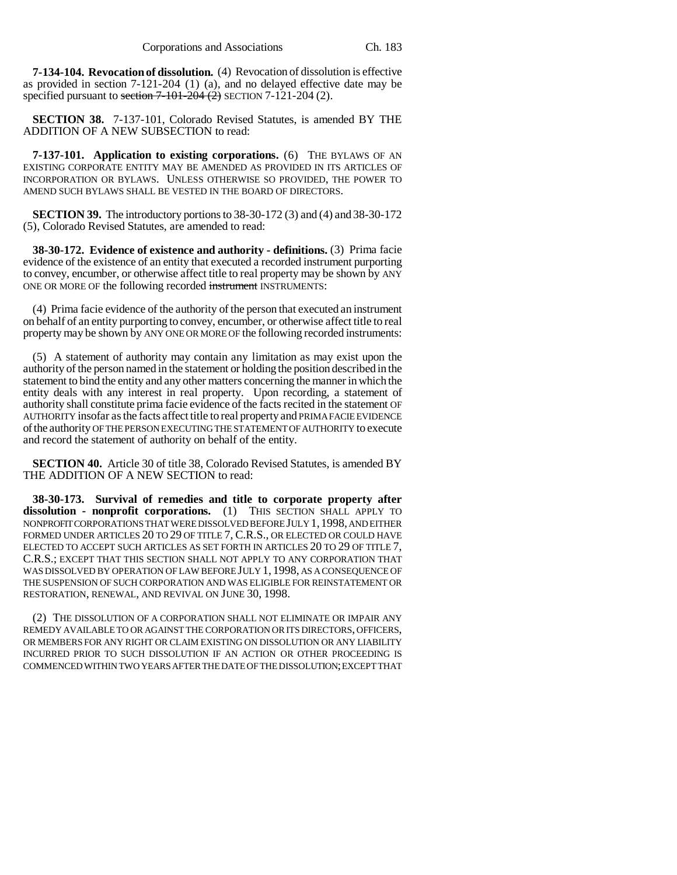**7-134-104. Revocation of dissolution.** (4) Revocation of dissolution is effective as provided in section 7-121-204 (1) (a), and no delayed effective date may be specified pursuant to section  $7-101-204$  (2) SECTION 7-121-204 (2).

**SECTION 38.** 7-137-101, Colorado Revised Statutes, is amended BY THE ADDITION OF A NEW SUBSECTION to read:

**7-137-101. Application to existing corporations.** (6) THE BYLAWS OF AN EXISTING CORPORATE ENTITY MAY BE AMENDED AS PROVIDED IN ITS ARTICLES OF INCORPORATION OR BYLAWS. UNLESS OTHERWISE SO PROVIDED, THE POWER TO AMEND SUCH BYLAWS SHALL BE VESTED IN THE BOARD OF DIRECTORS.

**SECTION 39.** The introductory portions to 38-30-172 (3) and (4) and 38-30-172 (5), Colorado Revised Statutes, are amended to read:

**38-30-172. Evidence of existence and authority - definitions.** (3) Prima facie evidence of the existence of an entity that executed a recorded instrument purporting to convey, encumber, or otherwise affect title to real property may be shown by ANY ONE OR MORE OF the following recorded instrument INSTRUMENTS:

(4) Prima facie evidence of the authority of the person that executed an instrument on behalf of an entity purporting to convey, encumber, or otherwise affect title to real property may be shown by ANY ONE OR MORE OF the following recorded instruments:

(5) A statement of authority may contain any limitation as may exist upon the authority of the person named in the statement or holding the position described in the statement to bind the entity and any other matters concerning the manner in which the entity deals with any interest in real property. Upon recording, a statement of authority shall constitute prima facie evidence of the facts recited in the statement OF AUTHORITY insofar as the facts affect title to real property and PRIMA FACIE EVIDENCE of the authority OF THE PERSON EXECUTING THE STATEMENT OF AUTHORITY to execute and record the statement of authority on behalf of the entity.

**SECTION 40.** Article 30 of title 38, Colorado Revised Statutes, is amended BY THE ADDITION OF A NEW SECTION to read:

**38-30-173. Survival of remedies and title to corporate property after dissolution - nonprofit corporations.** (1) THIS SECTION SHALL APPLY TO NONPROFIT CORPORATIONS THAT WERE DISSOLVED BEFORE JULY 1,1998, AND EITHER FORMED UNDER ARTICLES 20 TO 29 OF TITLE 7, C.R.S., OR ELECTED OR COULD HAVE ELECTED TO ACCEPT SUCH ARTICLES AS SET FORTH IN ARTICLES 20 TO 29 OF TITLE 7, C.R.S.; EXCEPT THAT THIS SECTION SHALL NOT APPLY TO ANY CORPORATION THAT WAS DISSOLVED BY OPERATION OF LAW BEFORE JULY 1, 1998, AS A CONSEQUENCE OF THE SUSPENSION OF SUCH CORPORATION AND WAS ELIGIBLE FOR REINSTATEMENT OR RESTORATION, RENEWAL, AND REVIVAL ON JUNE 30, 1998.

(2) THE DISSOLUTION OF A CORPORATION SHALL NOT ELIMINATE OR IMPAIR ANY REMEDY AVAILABLE TO OR AGAINST THE CORPORATION OR ITS DIRECTORS, OFFICERS, OR MEMBERS FOR ANY RIGHT OR CLAIM EXISTING ON DISSOLUTION OR ANY LIABILITY INCURRED PRIOR TO SUCH DISSOLUTION IF AN ACTION OR OTHER PROCEEDING IS COMMENCED WITHIN TWO YEARS AFTER THE DATE OF THE DISSOLUTION; EXCEPT THAT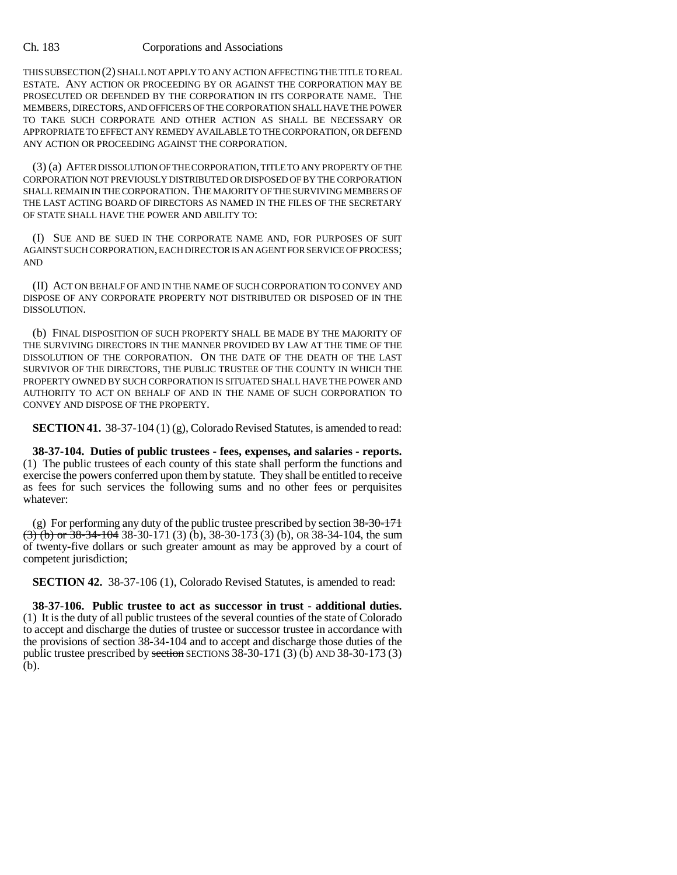THIS SUBSECTION (2) SHALL NOT APPLY TO ANY ACTION AFFECTING THE TITLE TO REAL ESTATE. ANY ACTION OR PROCEEDING BY OR AGAINST THE CORPORATION MAY BE PROSECUTED OR DEFENDED BY THE CORPORATION IN ITS CORPORATE NAME. THE MEMBERS, DIRECTORS, AND OFFICERS OF THE CORPORATION SHALL HAVE THE POWER TO TAKE SUCH CORPORATE AND OTHER ACTION AS SHALL BE NECESSARY OR APPROPRIATE TO EFFECT ANY REMEDY AVAILABLE TO THE CORPORATION, OR DEFEND ANY ACTION OR PROCEEDING AGAINST THE CORPORATION.

(3) (a) AFTER DISSOLUTION OF THE CORPORATION, TITLE TO ANY PROPERTY OF THE CORPORATION NOT PREVIOUSLY DISTRIBUTED OR DISPOSED OF BY THE CORPORATION SHALL REMAIN IN THE CORPORATION. THE MAJORITY OF THE SURVIVING MEMBERS OF THE LAST ACTING BOARD OF DIRECTORS AS NAMED IN THE FILES OF THE SECRETARY OF STATE SHALL HAVE THE POWER AND ABILITY TO:

(I) SUE AND BE SUED IN THE CORPORATE NAME AND, FOR PURPOSES OF SUIT AGAINST SUCH CORPORATION, EACH DIRECTOR IS AN AGENT FOR SERVICE OF PROCESS; AND

(II) ACT ON BEHALF OF AND IN THE NAME OF SUCH CORPORATION TO CONVEY AND DISPOSE OF ANY CORPORATE PROPERTY NOT DISTRIBUTED OR DISPOSED OF IN THE DISSOLUTION.

(b) FINAL DISPOSITION OF SUCH PROPERTY SHALL BE MADE BY THE MAJORITY OF THE SURVIVING DIRECTORS IN THE MANNER PROVIDED BY LAW AT THE TIME OF THE DISSOLUTION OF THE CORPORATION. ON THE DATE OF THE DEATH OF THE LAST SURVIVOR OF THE DIRECTORS, THE PUBLIC TRUSTEE OF THE COUNTY IN WHICH THE PROPERTY OWNED BY SUCH CORPORATION IS SITUATED SHALL HAVE THE POWER AND AUTHORITY TO ACT ON BEHALF OF AND IN THE NAME OF SUCH CORPORATION TO CONVEY AND DISPOSE OF THE PROPERTY.

**SECTION 41.** 38-37-104 (1) (g), Colorado Revised Statutes, is amended to read:

**38-37-104. Duties of public trustees - fees, expenses, and salaries - reports.** (1) The public trustees of each county of this state shall perform the functions and exercise the powers conferred upon them by statute. They shall be entitled to receive as fees for such services the following sums and no other fees or perquisites whatever:

(g) For performing any duty of the public trustee prescribed by section  $38-30-171$  $\overline{(3)}$  (b) or 38-34-104 38-30-171 (3) (b), 38-30-173 (3) (b), OR 38-34-104, the sum of twenty-five dollars or such greater amount as may be approved by a court of competent jurisdiction;

**SECTION 42.** 38-37-106 (1), Colorado Revised Statutes, is amended to read:

**38-37-106. Public trustee to act as successor in trust - additional duties.** (1) It is the duty of all public trustees of the several counties of the state of Colorado to accept and discharge the duties of trustee or successor trustee in accordance with the provisions of section 38-34-104 and to accept and discharge those duties of the public trustee prescribed by section SECTIONS  $38-30-171$  (3) (b) AND  $38-30-173$  (3) (b).